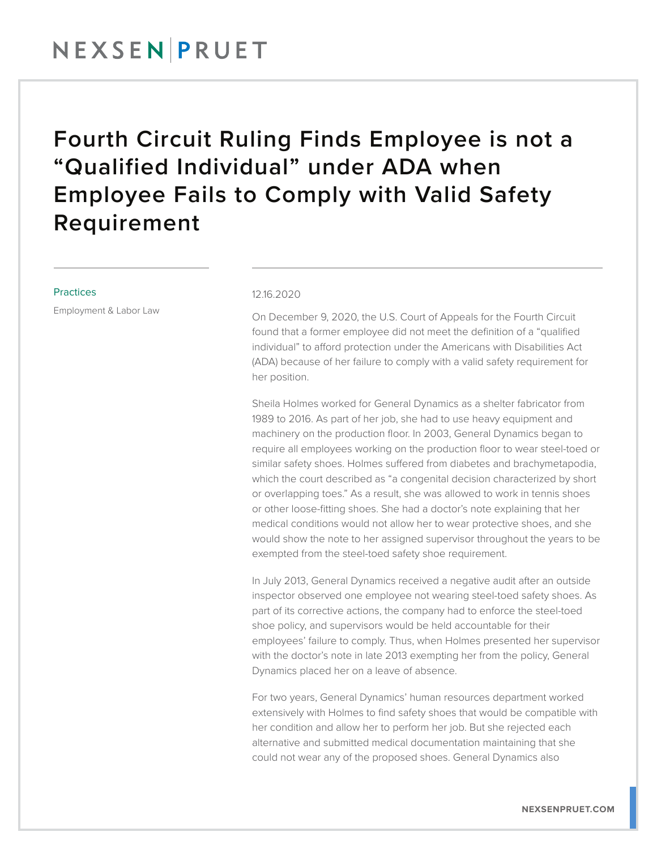### NEXSENPRUET

## Fourth Circuit Ruling Finds Employee is not a "Qualified Individual" under ADA when Employee Fails to Comply with Valid Safety Requirement

#### Practices

Employment & Labor Law

### 12.16.2020

On December 9, 2020, the U.S. Court of Appeals for the Fourth Circuit found that a former employee did not meet the definition of a "qualified individual" to afford protection under the Americans with Disabilities Act (ADA) because of her failure to comply with a valid safety requirement for her position.

Sheila Holmes worked for General Dynamics as a shelter fabricator from 1989 to 2016. As part of her job, she had to use heavy equipment and machinery on the production floor. In 2003, General Dynamics began to require all employees working on the production floor to wear steel-toed or similar safety shoes. Holmes suffered from diabetes and brachymetapodia, which the court described as "a congenital decision characterized by short or overlapping toes." As a result, she was allowed to work in tennis shoes or other loose-fitting shoes. She had a doctor's note explaining that her medical conditions would not allow her to wear protective shoes, and she would show the note to her assigned supervisor throughout the years to be exempted from the steel-toed safety shoe requirement.

In July 2013, General Dynamics received a negative audit after an outside inspector observed one employee not wearing steel-toed safety shoes. As part of its corrective actions, the company had to enforce the steel-toed shoe policy, and supervisors would be held accountable for their employees' failure to comply. Thus, when Holmes presented her supervisor with the doctor's note in late 2013 exempting her from the policy, General Dynamics placed her on a leave of absence.

For two years, General Dynamics' human resources department worked extensively with Holmes to find safety shoes that would be compatible with her condition and allow her to perform her job. But she rejected each alternative and submitted medical documentation maintaining that she could not wear any of the proposed shoes. General Dynamics also